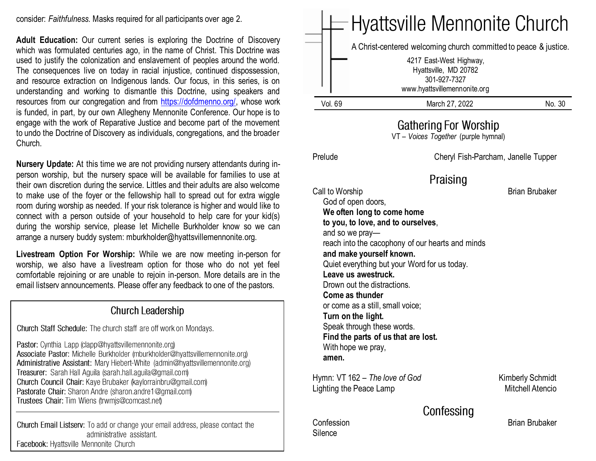consider: *Faithfulness.* Masks required for all participants over age 2.

**Adult Education:** Our current series is exploring the Doctrine of Discovery which was formulated centuries ago, in the name of Christ. This Doctrine was used to justify the colonization and enslavement of peoples around the world. The consequences live on today in racial injustice, continued dispossession, and resource extraction on Indigenous lands. Our focus, in this series, is on understanding and working to dismantle this Doctrine, using speakers and resources from our congregation and from [https://dofdmenno.org/,](https://dofdmenno.org/) whose work is funded, in part, by our own Allegheny Mennonite Conference. Our hope is to engage with the work of Reparative Justice and become part of the movement to undo the Doctrine of Discovery as individuals, congregations, and the broader Church.

**Nursery Update:** At this time we are not providing nursery attendants during inperson worship, but the nursery space will be available for families to use at their own discretion during the service. Littles and their adults are also welcome to make use of the foyer or the fellowship hall to spread out for extra wiggle room during worship as needed. If your risk tolerance is higher and would like to connect with a person outside of your household to help care for your kid(s) during the worship service, please let Michelle Burkholder know so we can arrange a nursery buddy system: mburkholder@hyattsvillemennonite.org.

**Livestream Option For Worship:** While we are now meeting in-person for worship, we also have a livestream option for those who do not yet feel comfortable rejoining or are unable to rejoin in-person. More details are in the email listserv announcements. Please offer any feedback to one of the pastors.

#### **Church Leadership**

Church Staff Schedule: The church staff are off work on Mondays.

Pastor: Cynthia Lapp (clapp@hyattsvillemennonite.org) Associate Pastor: Michelle Burkholder (mburkholder@hyattsvillemennonite.org) Administrative Assistant: Mary Hiebert-White (admin@hyattsvillemennonite.org) Treasurer: Sarah Hall Aguila (sarah.hall.aguila@gmail.com) Church Council Chair: Kaye Brubaker (kaylorrainbru@gmail.com) Pastorate Chair: Sharon Andre (sharon.andre1@gmail.com) Trustees Chair: Tim Wiens (trwmjs@comcast.net)

Church Email Listsery: To add or change your email address, please contact the administrative assistant. Facebook: Hyattsville Mennonite Church

|                                                                                                                                                                                                                                                                                                                    |                                                                                                                                                                               | <b>Hyattsville Mennonite Church</b>                              |
|--------------------------------------------------------------------------------------------------------------------------------------------------------------------------------------------------------------------------------------------------------------------------------------------------------------------|-------------------------------------------------------------------------------------------------------------------------------------------------------------------------------|------------------------------------------------------------------|
|                                                                                                                                                                                                                                                                                                                    | 4217 East-West Highway,<br>Hyattsville, MD 20782<br>301-927-7327<br>www.hyattsvillemennonite.org                                                                              | A Christ-centered welcoming church committed to peace & justice. |
| Vol. 69                                                                                                                                                                                                                                                                                                            | March 27, 2022                                                                                                                                                                | No. 30                                                           |
|                                                                                                                                                                                                                                                                                                                    | <b>Gathering For Worship</b><br>VT - Voices Together (purple hymnal)                                                                                                          |                                                                  |
| Prelude                                                                                                                                                                                                                                                                                                            |                                                                                                                                                                               | Cheryl Fish-Parcham, Janelle Tupper                              |
|                                                                                                                                                                                                                                                                                                                    | Praising                                                                                                                                                                      |                                                                  |
| Call to Worship<br>God of open doors,<br>We often long to come home<br>and so we pray-<br>and make yourself known.<br>Leave us awestruck.<br>Drown out the distractions.<br>Come as thunder<br>or come as a still, small voice;<br>Turn on the light.<br>Speak through these words.<br>With hope we pray,<br>amen. | to you, to love, and to ourselves,<br>reach into the cacophony of our hearts and minds<br>Quiet everything but your Word for us today.<br>Find the parts of us that are lost. |                                                                  |
| Hymn: VT 162 – The love of God<br>Lighting the Peace Lamp                                                                                                                                                                                                                                                          |                                                                                                                                                                               | <b>Kimberly Schmidt</b><br><b>Mitchell Atencio</b>               |
| Confession<br>Silence                                                                                                                                                                                                                                                                                              | Confessing                                                                                                                                                                    | <b>Brian Brubaker</b>                                            |